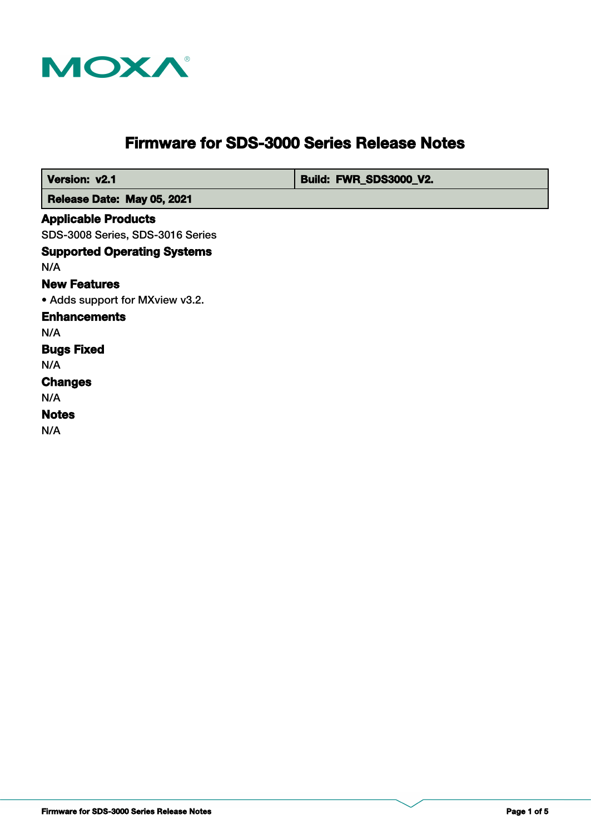

# **Firmware for SDS-3000 Series Release Notes**

**Version: v2.1 Build: FWR\_SDS3000\_V2.** 

 **Release Date: May 05, 2021**

#### **Applicable Products**

SDS-3008 Series, SDS-3016 Series

**Supported Operating Systems Notes Changes Bugs Fixed** N/A N/A **Enhancements** N/A • Adds support for MXview v3.2. **New Features** N/A

N/A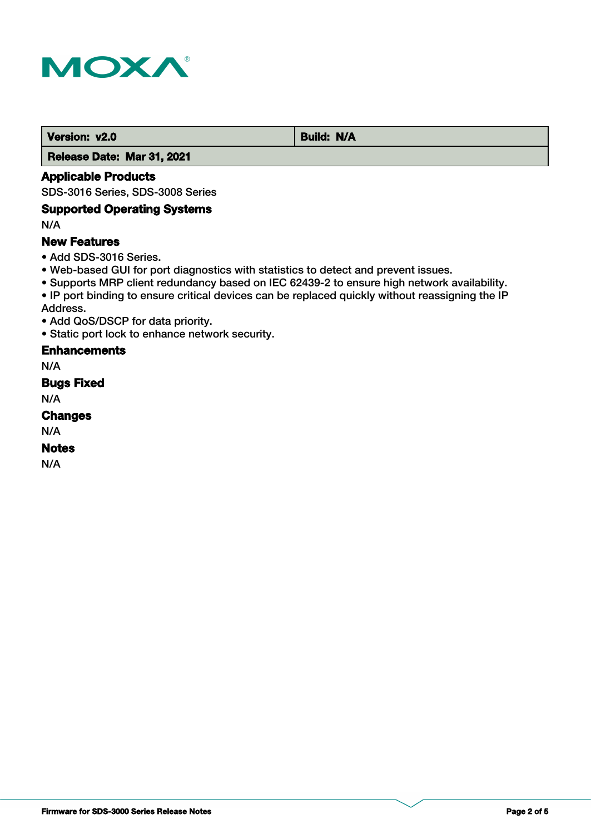

**Version: v2.0** Build: N/A

 **Release Date: Mar 31, 2021**

## **Applicable Products**

SDS-3016 Series, SDS-3008 Series

## **Supported Operating Systems**

N/A

#### **New Features**

• Add SDS-3016 Series.

- Web-based GUI for port diagnostics with statistics to detect and prevent issues.
- Supports MRP client redundancy based on IEC 62439-2 to ensure high network availability.
- IP port binding to ensure critical devices can be replaced quickly without reassigning the IP Address.
- Add QoS/DSCP for data priority.
- Static port lock to enhance network security.

## **Enhancements**

N/A

#### **Bugs Fixed**

N/A

## **Changes**

N/A

## **Notes**

N/A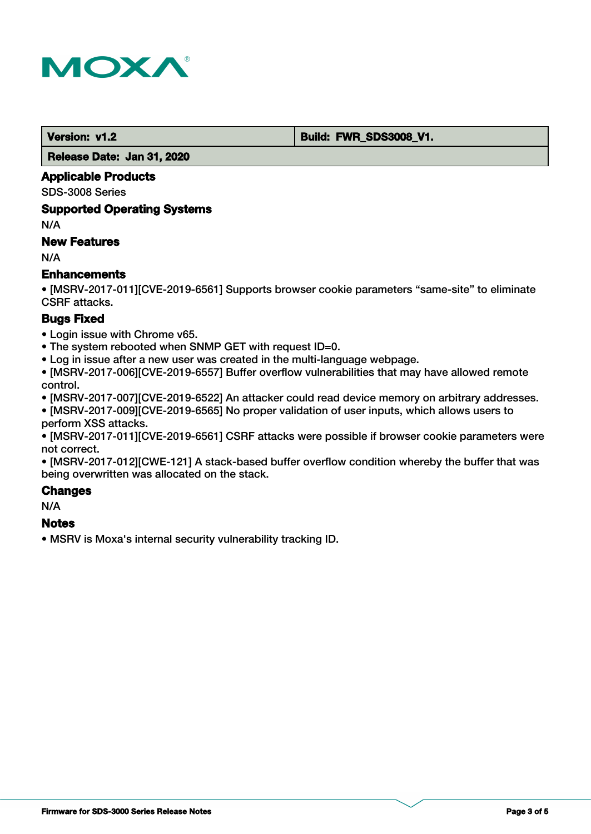

**Version: v1.2 Build: FWR\_SDS3008\_V1.** 

 **Release Date: Jan 31, 2020**

#### **Applicable Products**

SDS-3008 Series

#### **Supported Operating Systems**

N/A

## **New Features**

N/A

## **Enhancements**

• [MSRV-2017-011][CVE-2019-6561] Supports browser cookie parameters "same-site" to eliminate CSRF attacks.

## **Bugs Fixed**

• Login issue with Chrome v65.

• The system rebooted when SNMP GET with request ID=0.

• Log in issue after a new user was created in the multi-language webpage.

• [MSRV-2017-006][CVE-2019-6557] Buffer overflow vulnerabilities that may have allowed remote control.

• [MSRV-2017-007][CVE-2019-6522] An attacker could read device memory on arbitrary addresses.

• [MSRV-2017-009][CVE-2019-6565] No proper validation of user inputs, which allows users to perform XSS attacks.

• [MSRV-2017-011][CVE-2019-6561] CSRF attacks were possible if browser cookie parameters were not correct.

• [MSRV-2017-012][CWE-121] A stack-based buffer overflow condition whereby the buffer that was being overwritten was allocated on the stack.

## **Changes**

N/A

## **Notes**

• MSRV is Moxa's internal security vulnerability tracking ID.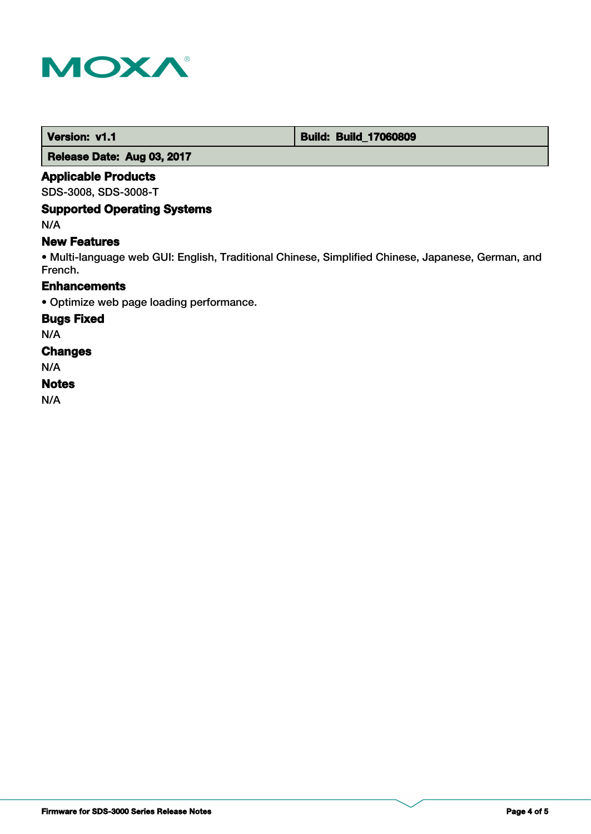

 **Version: v1.1 1.1 Build: Build: Build\_17060809** 

 **Release Date: Aug 03, 2017**

#### **Applicable Products**

SDS-3008, SDS-3008-T

## **Supported Operating Systems**

N/A

#### **New Features**

• Multi-language web GUI: English, Traditional Chinese, Simplified Chinese, Japanese, German, and French.

## **Enhancements**

• Optimize web page loading performance.

#### **Bugs Fixed**

N/A

#### **Changes**

N/A

#### **Notes**

N/A